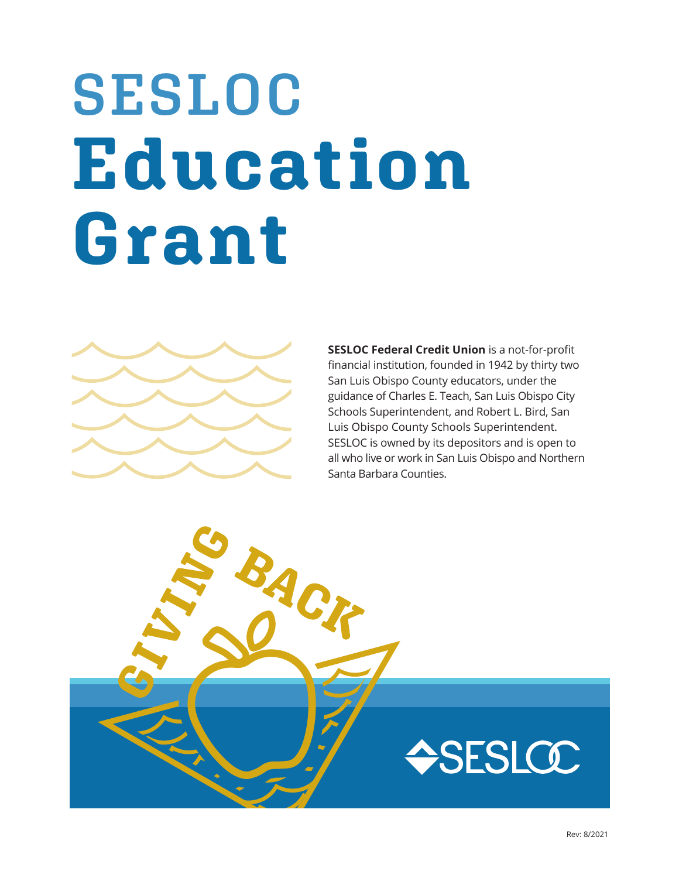# **SESLOC Education Grant**



**SESLOC Federal Credit Union** is a not-for-profit financial institution, founded in 1942 by thirty two San Luis Obispo County educators, under the guidance of Charles E. Teach, San Luis Obispo City Schools Superintendent, and Robert L. Bird, San Luis Obispo County Schools Superintendent. SESLOC is owned by its depositors and is open to all who live or work in San Luis Obispo and Northern Santa Barbara Counties.

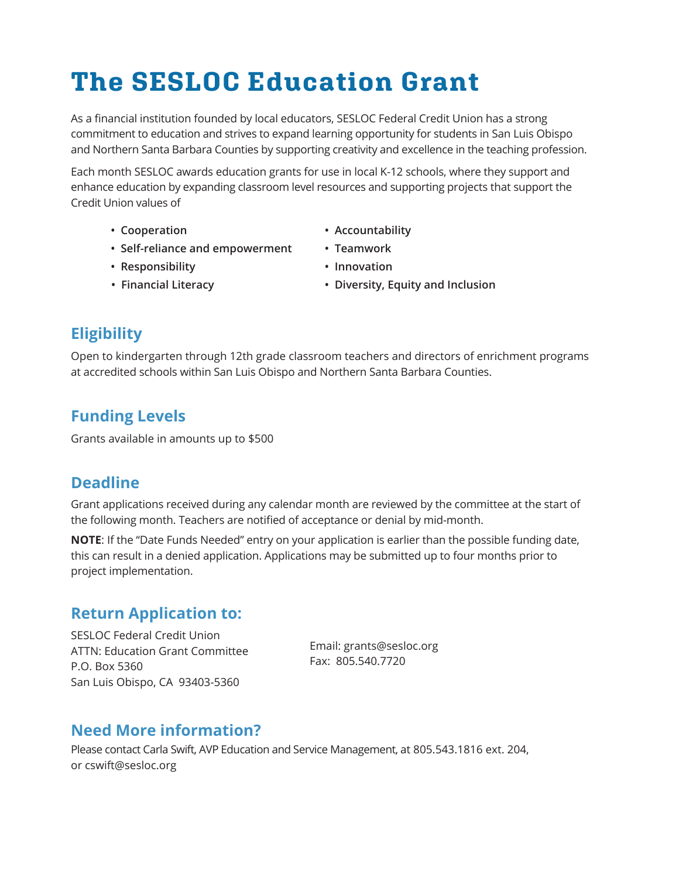## **The SESLOC Education Grant**

As a financial institution founded by local educators, SESLOC Federal Credit Union has a strong commitment to education and strives to expand learning opportunity for students in San Luis Obispo and Northern Santa Barbara Counties by supporting creativity and excellence in the teaching profession.

Each month SESLOC awards education grants for use in local K-12 schools, where they support and enhance education by expanding classroom level resources and supporting projects that support the Credit Union values of

- 
- **Cooperation Accountability**
- **Self-reliance and empowerment Teamwork**
- **Responsibility Innovation**
- 
- **Financial Literacy Diversity, Equity and Inclusion**
- **Eligibility**

Open to kindergarten through 12th grade classroom teachers and directors of enrichment programs at accredited schools within San Luis Obispo and Northern Santa Barbara Counties.

### **Funding Levels**

Grants available in amounts up to \$500

#### **Deadline**

Grant applications received during any calendar month are reviewed by the committee at the start of the following month. Teachers are notified of acceptance or denial by mid-month.

**NOTE**: If the "Date Funds Needed" entry on your application is earlier than the possible funding date, this can result in a denied application. Applications may be submitted up to four months prior to project implementation.

#### **Return Application to:**

SESLOC Federal Credit Union ATTN: Education Grant Committee P.O. Box 5360 San Luis Obispo, CA 93403-5360

Email: grants@sesloc.org Fax: 805.540.7720

#### **Need More information?**

Please contact Carla Swift, AVP Education and Service Management, at 805.543.1816 ext. 204, or cswift@sesloc.org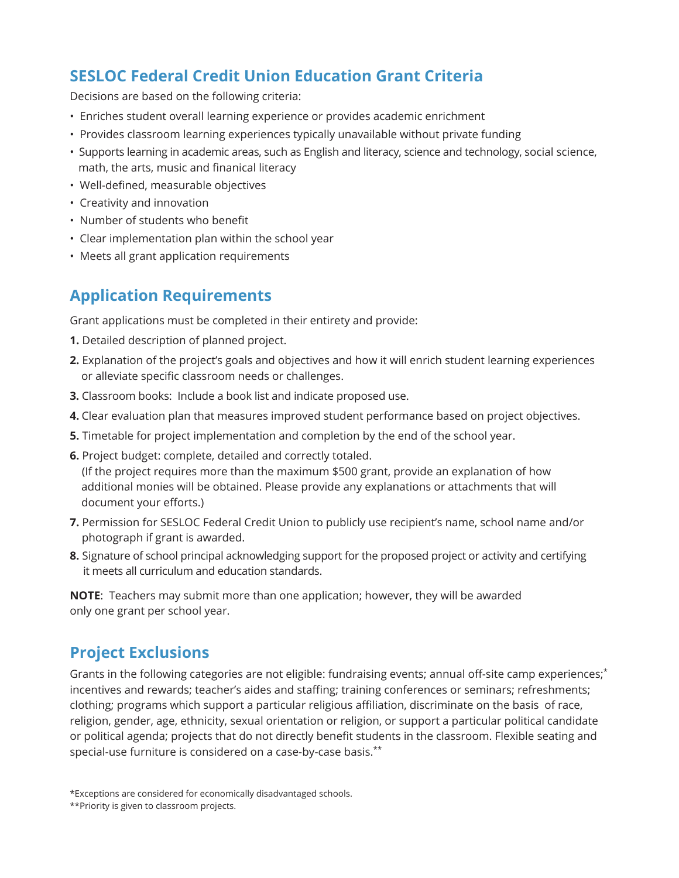#### **SESLOC Federal Credit Union Education Grant Criteria**

Decisions are based on the following criteria:

- Enriches student overall learning experience or provides academic enrichment
- Provides classroom learning experiences typically unavailable without private funding
- Supports learning in academic areas, such as English and literacy, science and technology, social science, math, the arts, music and finanical literacy
- Well-defined, measurable objectives
- Creativity and innovation
- Number of students who benefit
- Clear implementation plan within the school year
- Meets all grant application requirements

### **Application Requirements**

Grant applications must be completed in their entirety and provide:

- **1.** Detailed description of planned project.
- **2.** Explanation of the project's goals and objectives and how it will enrich student learning experiences or alleviate specific classroom needs or challenges.
- **3.** Classroom books: Include a book list and indicate proposed use.
- **4.** Clear evaluation plan that measures improved student performance based on project objectives.
- **5.** Timetable for project implementation and completion by the end of the school year.
- **6.** Project budget: complete, detailed and correctly totaled.

 (If the project requires more than the maximum \$500 grant, provide an explanation of how additional monies will be obtained. Please provide any explanations or attachments that will document your efforts.)

- **7.** Permission for SESLOC Federal Credit Union to publicly use recipient's name, school name and/or photograph if grant is awarded.
- **8.** Signature of school principal acknowledging support for the proposed project or activity and certifying it meets all curriculum and education standards.

**NOTE**: Teachers may submit more than one application; however, they will be awarded only one grant per school year.

#### **Project Exclusions**

Grants in the following categories are not eligible: fundraising events; annual off-site camp experiences;\* incentives and rewards; teacher's aides and staffing; training conferences or seminars; refreshments; clothing; programs which support a particular religious affiliation, discriminate on the basis of race, religion, gender, age, ethnicity, sexual orientation or religion, or support a particular political candidate or political agenda; projects that do not directly benefit students in the classroom. Flexible seating and special-use furniture is considered on a case-by-case basis.\*\*

<sup>\*</sup>Exceptions are considered for economically disadvantaged schools.

<sup>\*\*</sup>Priority is given to classroom projects.